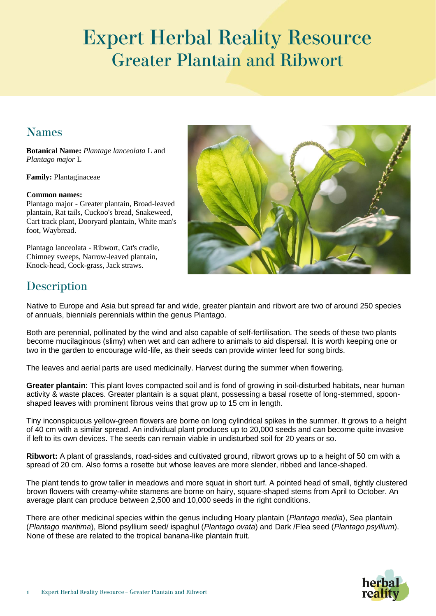# **Expert Herbal Reality Resource Greater Plantain and Ribwort**

### **Names**

**Botanical Name:** *Plantage lanceolata* L and *Plantago major* L

**Family:** Plantaginaceae

#### **Common names:**

Plantago major - Greater plantain, Broad-leaved plantain, Rat tails, Cuckoo's bread, Snakeweed, Cart track plant, Dooryard plantain, White man's foot, Waybread.

Plantago lanceolata - Ribwort, Cat's cradle, Chimney sweeps, Narrow-leaved plantain, Knock-head, Cock-grass, Jack straws.



### **Description**

Native to Europe and Asia but spread far and wide, greater plantain and ribwort are two of around 250 species of annuals, biennials perennials within the genus Plantago.

Both are perennial, pollinated by the wind and also capable of self-fertilisation. The seeds of these two plants become mucilaginous (slimy) when wet and can adhere to animals to aid dispersal. It is worth keeping one or two in the garden to encourage wild-life, as their seeds can provide winter feed for song birds.

The leaves and aerial parts are used medicinally. Harvest during the summer when flowering.

**Greater plantain:** This plant loves compacted soil and is fond of growing in soil-disturbed habitats, near human activity & waste places. Greater plantain is a squat plant, possessing a basal rosette of long-stemmed, spoonshaped leaves with prominent fibrous veins that grow up to 15 cm in length.

Tiny inconspicuous yellow-green flowers are borne on long cylindrical spikes in the summer. It grows to a height of 40 cm with a similar spread. An individual plant produces up to 20,000 seeds and can become quite invasive if left to its own devices. The seeds can remain viable in undisturbed soil for 20 years or so.

**Ribwort:** A plant of grasslands, road-sides and cultivated ground, ribwort grows up to a height of 50 cm with a spread of 20 cm. Also forms a rosette but whose leaves are more slender, ribbed and lance-shaped.

The plant tends to grow taller in meadows and more squat in short turf. A pointed head of small, tightly clustered brown flowers with creamy-white stamens are borne on hairy, square-shaped stems from April to October. An average plant can produce between 2,500 and 10,000 seeds in the right conditions.

There are other medicinal species within the genus including Hoary plantain (*Plantago media*), Sea plantain (*Plantago maritima*), Blond psyllium seed/ ispaghul (*Plantago ovata*) and Dark /Flea seed (*Plantago psyllium*). None of these are related to the tropical banana-like plantain fruit.

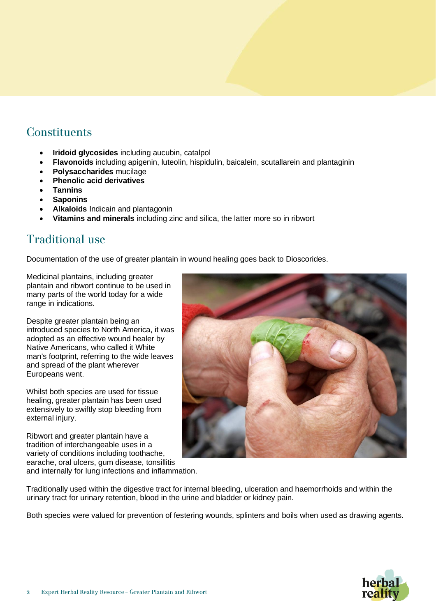#### **Constituents**

- **Iridoid glycosides** including aucubin, catalpol
- **Flavonoids** including apigenin, luteolin, hispidulin, baicalein, scutallarein and plantaginin
- **Polysaccharides** mucilage
- **Phenolic acid derivatives**
- **Tannins**
- **Saponins**
- **Alkaloids** Indicain and plantagonin
- **Vitamins and minerals** including zinc and silica, the latter more so in ribwort

### **Traditional use**

Documentation of the use of greater plantain in wound healing goes back to Dioscorides.

Medicinal plantains, including greater plantain and ribwort continue to be used in many parts of the world today for a wide range in indications.

Despite greater plantain being an introduced species to North America, it was adopted as an effective wound healer by Native Americans, who called it White man's footprint, referring to the wide leaves and spread of the plant wherever Europeans went.

Whilst both species are used for tissue healing, greater plantain has been used extensively to swiftly stop bleeding from external injury.

Ribwort and greater plantain have a tradition of interchangeable uses in a variety of conditions including toothache, earache, oral ulcers, gum disease, tonsillitis and internally for lung infections and inflammation.



Traditionally used within the digestive tract for internal bleeding, ulceration and haemorrhoids and within the urinary tract for urinary retention, blood in the urine and bladder or kidney pain.

Both species were valued for prevention of festering wounds, splinters and boils when used as drawing agents.

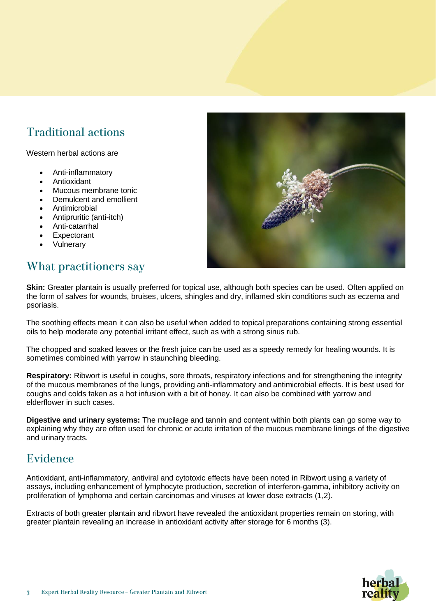# **Traditional actions**

Western herbal actions are

- Anti-inflammatory
- **Antioxidant**
- Mucous membrane tonic
- Demulcent and emollient
- **Antimicrobial**
- Antipruritic (anti-itch)
- Anti-catarrhal
- **Expectorant**
- **Vulnerary**

# What practitioners say

**Skin:** Greater plantain is usually preferred for topical use, although both species can be used. Often applied on the form of salves for wounds, bruises, ulcers, shingles and dry, inflamed skin conditions such as eczema and psoriasis.

The soothing effects mean it can also be useful when added to topical preparations containing strong essential oils to help moderate any potential irritant effect, such as with a strong sinus rub.

The chopped and soaked leaves or the fresh juice can be used as a speedy remedy for healing wounds. It is sometimes combined with yarrow in staunching bleeding.

**Respiratory:** Ribwort is useful in coughs, sore throats, respiratory infections and for strengthening the integrity of the mucous membranes of the lungs, providing anti-inflammatory and antimicrobial effects. It is best used for coughs and colds taken as a hot infusion with a bit of honey. It can also be combined with yarrow and elderflower in such cases.

**Digestive and urinary systems:** The mucilage and tannin and content within both plants can go some way to explaining why they are often used for chronic or acute irritation of the mucous membrane linings of the digestive and urinary tracts.

### Evidence

Antioxidant, anti-inflammatory, antiviral and cytotoxic effects have been noted in Ribwort using a variety of assays, including enhancement of lymphocyte production, secretion of interferon-gamma, inhibitory activity on proliferation of lymphoma and certain carcinomas and viruses at lower dose extracts (1,2).

Extracts of both greater plantain and ribwort have revealed the antioxidant properties remain on storing, with greater plantain revealing an increase in antioxidant activity after storage for 6 months (3).



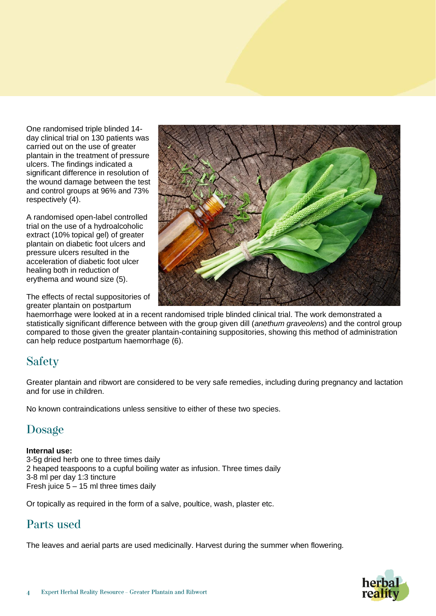One randomised triple blinded 14 day clinical trial on 130 patients was carried out on the use of greater plantain in the treatment of pressure ulcers. The findings indicated a significant difference in resolution of the wound damage between the test and control groups at 96% and 73% respectively (4).

A randomised open-label controlled trial on the use of a hydroalcoholic extract (10% topical gel) of greater plantain on diabetic foot ulcers and pressure ulcers resulted in the acceleration of diabetic foot ulcer healing both in reduction of erythema and wound size (5).

The effects of rectal suppositories of greater plantain on postpartum



haemorrhage were looked at in a recent randomised triple blinded clinical trial. The work demonstrated a statistically significant difference between with the group given dill (*anethum graveolens*) and the control group compared to those given the greater plantain-containing suppositories, showing this method of administration can help reduce postpartum haemorrhage (6).

# **Safety**

Greater plantain and ribwort are considered to be very safe remedies, including during pregnancy and lactation and for use in children.

No known contraindications unless sensitive to either of these two species.

### Dosage

#### **Internal use:**

3-5g dried herb one to three times daily 2 heaped teaspoons to a cupful boiling water as infusion. Three times daily 3-8 ml per day 1:3 tincture Fresh juice 5 – 15 ml three times daily

Or topically as required in the form of a salve, poultice, wash, plaster etc.

### Parts used

The leaves and aerial parts are used medicinally. Harvest during the summer when flowering.